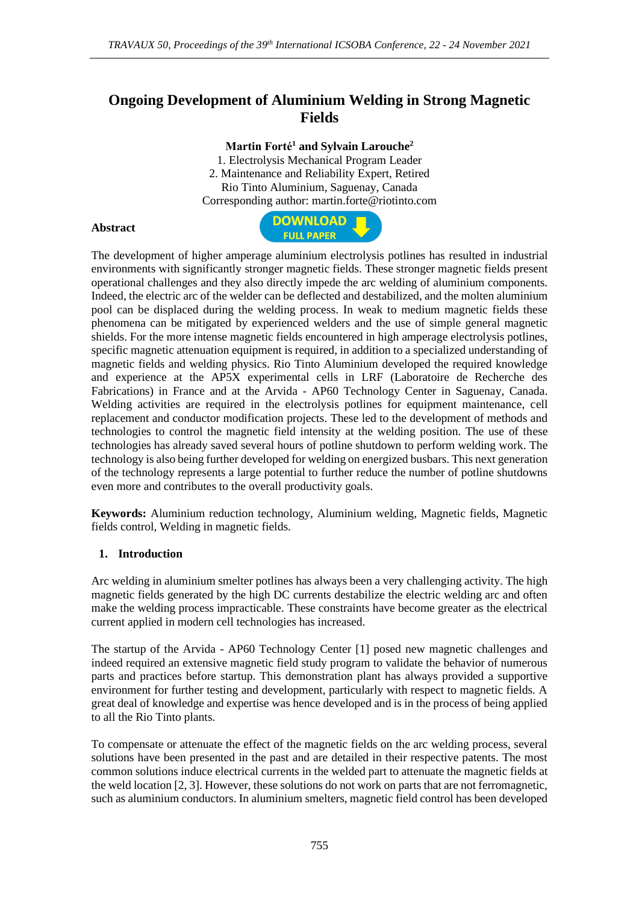# **Ongoing Development of Aluminium Welding in Strong Magnetic Fields**

### **Martin Forté<sup>1</sup> and Sylvain Larouche<sup>2</sup>**

1. Electrolysis Mechanical Program Leader 2. Maintenance and Reliability Expert, Retired Rio Tinto Aluminium, Saguenay, Canada Corresponding author: martin.forte@riotinto.com

#### **Abstract**



The development of higher amperage aluminium electrolysis potlines has resulted in industrial environments with significantly stronger magnetic fields. These stronger magnetic fields present operational challenges and they also directly impede the arc welding of aluminium components. Indeed, the electric arc of the welder can be deflected and destabilized, and the molten aluminium pool can be displaced during the welding process. In weak to medium magnetic fields these phenomena can be mitigated by experienced welders and the use of simple general magnetic shields. For the more intense magnetic fields encountered in high amperage electrolysis potlines, specific magnetic attenuation equipment is required, in addition to a specialized understanding of magnetic fields and welding physics. Rio Tinto Aluminium developed the required knowledge and experience at the AP5X experimental cells in LRF (Laboratoire de Recherche des Fabrications) in France and at the Arvida - AP60 Technology Center in Saguenay, Canada. Welding activities are required in the electrolysis potlines for equipment maintenance, cell replacement and conductor modification projects. These led to the development of methods and technologies to control the magnetic field intensity at the welding position. The use of these technologies has already saved several hours of potline shutdown to perform welding work. The technology is also being further developed for welding on energized busbars. This next generation of the technology represents a large potential to further reduce the number of potline shutdowns even more and contributes to the overall productivity goals.

**Keywords:** Aluminium reduction technology, Aluminium welding, Magnetic fields, Magnetic fields control, Welding in magnetic fields.

### **1. Introduction**

Arc welding in aluminium smelter potlines has always been a very challenging activity. The high magnetic fields generated by the high DC currents destabilize the electric welding arc and often make the welding process impracticable. These constraints have become greater as the electrical current applied in modern cell technologies has increased.

The startup of the Arvida - AP60 Technology Center [1] posed new magnetic challenges and indeed required an extensive magnetic field study program to validate the behavior of numerous parts and practices before startup. This demonstration plant has always provided a supportive environment for further testing and development, particularly with respect to magnetic fields. A great deal of knowledge and expertise was hence developed and is in the process of being applied to all the Rio Tinto plants.

To compensate or attenuate the effect of the magnetic fields on the arc welding process, several solutions have been presented in the past and are detailed in their respective patents. The most common solutions induce electrical currents in the welded part to attenuate the magnetic fields at the weld location [2, 3]. However, these solutions do not work on parts that are not ferromagnetic, such as aluminium conductors. In aluminium smelters, magnetic field control has been developed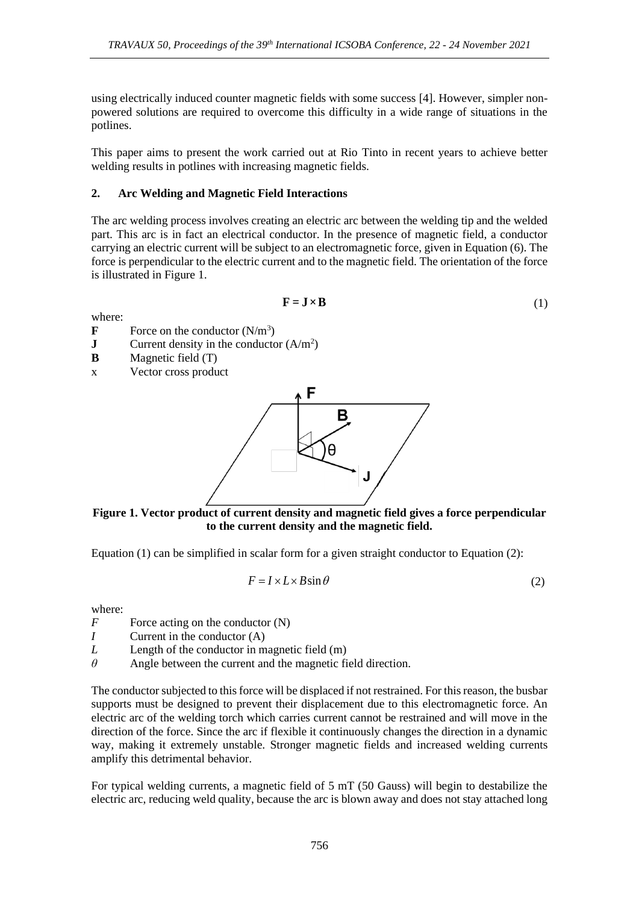using electrically induced counter magnetic fields with some success [4]. However, simpler nonpowered solutions are required to overcome this difficulty in a wide range of situations in the potlines.

This paper aims to present the work carried out at Rio Tinto in recent years to achieve better welding results in potlines with increasing magnetic fields.

## **2. Arc Welding and Magnetic Field Interactions**

The arc welding process involves creating an electric arc between the welding tip and the welded part. This arc is in fact an electrical conductor. In the presence of magnetic field, a conductor carrying an electric current will be subject to an electromagnetic force, given in Equation (6). The force is perpendicular to the electric current and to the magnetic field. The orientation of the force is illustrated in Figure 1.

$$
\mathbf{F} = \mathbf{J} \times \mathbf{B} \tag{1}
$$

where:

- **F** Force on the conductor  $(N/m^3)$
- **J** Current density in the conductor  $(A/m^2)$
- **B** Magnetic field (T)
- x Vector cross product



**Figure 1. Vector product of current density and magnetic field gives a force perpendicular to the current density and the magnetic field.** 

Equation  $(1)$  can be simplified in scalar form for a given straight conductor to Equation  $(2)$ :

$$
F = I \times L \times B \sin \theta \tag{2}
$$

where:

- *F* Force acting on the conductor (N)
- *I* Current in the conductor (A)
- *L* Length of the conductor in magnetic field (m)
- *θ* Angle between the current and the magnetic field direction.

The conductor subjected to this force will be displaced if not restrained. For this reason, the busbar supports must be designed to prevent their displacement due to this electromagnetic force. An electric arc of the welding torch which carries current cannot be restrained and will move in the direction of the force. Since the arc if flexible it continuously changes the direction in a dynamic way, making it extremely unstable. Stronger magnetic fields and increased welding currents amplify this detrimental behavior.

For typical welding currents, a magnetic field of 5 mT (50 Gauss) will begin to destabilize the electric arc, reducing weld quality, because the arc is blown away and does not stay attached long